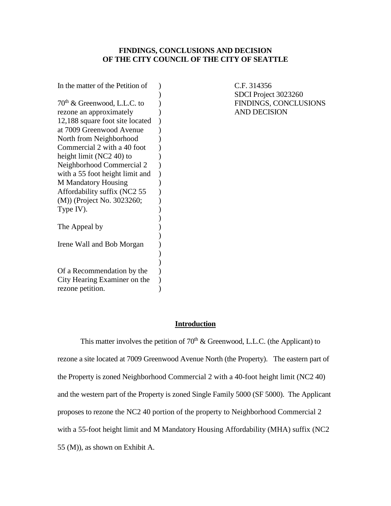## **FINDINGS, CONCLUSIONS AND DECISION OF THE CITY COUNCIL OF THE CITY OF SEATTLE**

| $70th$ & Greenwood, L.L.C. to   |
|---------------------------------|
|                                 |
|                                 |
| rezone an approximately         |
| 12,188 square foot site located |
| at 7009 Greenwood Avenue        |
| North from Neighborhood         |
| Commercial 2 with a 40 foot     |
| height limit $(NC2 40)$ to      |
| Neighborhood Commercial 2       |
| with a 55 foot height limit and |
| <b>M</b> Mandatory Housing      |
| Affordability suffix (NC2 55    |
| (M)) (Project No. 3023260;      |
| Type IV).                       |
|                                 |
| The Appeal by                   |
|                                 |
| Irene Wall and Bob Morgan       |
|                                 |
|                                 |
| Of a Recommendation by the      |
| City Hearing Examiner on the    |
| rezone petition.                |

C.F. 314356 SDCI Project 3023260 FINDINGS, CONCLUSIONS AND DECISION

### **Introduction**

This matter involves the petition of  $70<sup>th</sup>$  & Greenwood, L.L.C. (the Applicant) to rezone a site located at 7009 Greenwood Avenue North (the Property). The eastern part of the Property is zoned Neighborhood Commercial 2 with a 40-foot height limit (NC2 40) and the western part of the Property is zoned Single Family 5000 (SF 5000). The Applicant proposes to rezone the NC2 40 portion of the property to Neighborhood Commercial 2 with a 55-foot height limit and M Mandatory Housing Affordability (MHA) suffix (NC2 55 (M)), as shown on Exhibit A.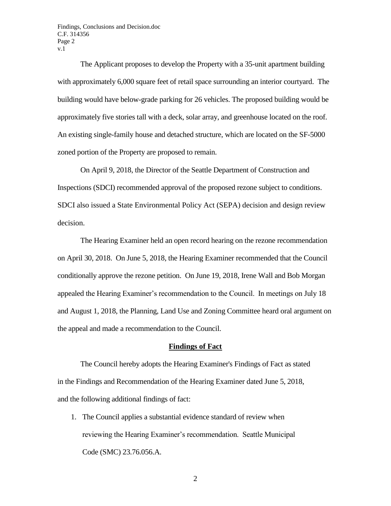Findings, Conclusions and Decision.doc C.F. 314356 Page 2 v.1

The Applicant proposes to develop the Property with a 35-unit apartment building with approximately 6,000 square feet of retail space surrounding an interior courtyard. The building would have below-grade parking for 26 vehicles. The proposed building would be approximately five stories tall with a deck, solar array, and greenhouse located on the roof. An existing single-family house and detached structure, which are located on the SF-5000 zoned portion of the Property are proposed to remain.

On April 9, 2018, the Director of the Seattle Department of Construction and Inspections (SDCI) recommended approval of the proposed rezone subject to conditions. SDCI also issued a State Environmental Policy Act (SEPA) decision and design review decision.

The Hearing Examiner held an open record hearing on the rezone recommendation on April 30, 2018. On June 5, 2018, the Hearing Examiner recommended that the Council conditionally approve the rezone petition. On June 19, 2018, Irene Wall and Bob Morgan appealed the Hearing Examiner's recommendation to the Council. In meetings on July 18 and August 1, 2018, the Planning, Land Use and Zoning Committee heard oral argument on the appeal and made a recommendation to the Council.

#### **Findings of Fact**

The Council hereby adopts the Hearing Examiner's Findings of Fact as stated in the Findings and Recommendation of the Hearing Examiner dated June 5, 2018, and the following additional findings of fact:

1. The Council applies a substantial evidence standard of review when reviewing the Hearing Examiner's recommendation. Seattle Municipal Code (SMC) 23.76.056.A.

2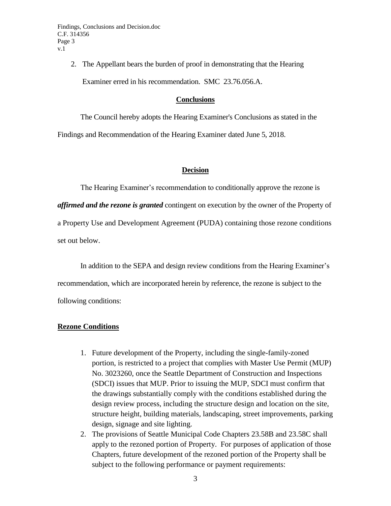2. The Appellant bears the burden of proof in demonstrating that the Hearing Examiner erred in his recommendation. SMC 23.76.056.A.

## **Conclusions**

The Council hereby adopts the Hearing Examiner's Conclusions as stated in the Findings and Recommendation of the Hearing Examiner dated June 5, 2018.

# **Decision**

The Hearing Examiner's recommendation to conditionally approve the rezone is *affirmed and the rezone is granted* contingent on execution by the owner of the Property of a Property Use and Development Agreement (PUDA) containing those rezone conditions set out below.

In addition to the SEPA and design review conditions from the Hearing Examiner's recommendation, which are incorporated herein by reference, the rezone is subject to the following conditions:

# **Rezone Conditions**

- 1. Future development of the Property, including the single-family-zoned portion, is restricted to a project that complies with Master Use Permit (MUP) No. 3023260, once the Seattle Department of Construction and Inspections (SDCI) issues that MUP. Prior to issuing the MUP, SDCI must confirm that the drawings substantially comply with the conditions established during the design review process, including the structure design and location on the site, structure height, building materials, landscaping, street improvements, parking design, signage and site lighting.
- 2. The provisions of Seattle Municipal Code Chapters 23.58B and 23.58C shall apply to the rezoned portion of Property. For purposes of application of those Chapters, future development of the rezoned portion of the Property shall be subject to the following performance or payment requirements: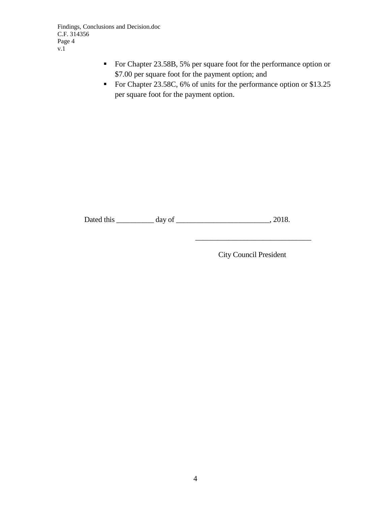Findings, Conclusions and Decision.doc C.F. 314356 Page 4 v.1

- For Chapter 23.58B, 5% per square foot for the performance option or \$7.00 per square foot for the payment option; and
- For Chapter 23.58C, 6% of units for the performance option or \$13.25 per square foot for the payment option.

Dated this \_\_\_\_\_\_\_\_\_\_ day of \_\_\_\_\_\_\_\_\_\_\_\_\_\_\_\_\_\_\_\_\_\_\_\_\_, 2018.

City Council President

\_\_\_\_\_\_\_\_\_\_\_\_\_\_\_\_\_\_\_\_\_\_\_\_\_\_\_\_\_\_\_